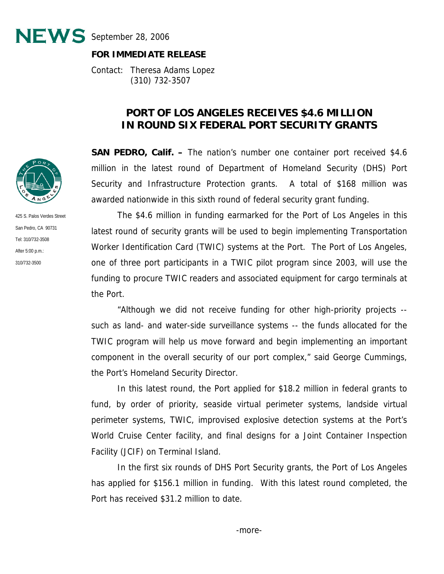NEWS September 28, 2006

## **FOR IMMEDIATE RELEASE**

Contact: Theresa Adams Lopez (310) 732-3507

## **PORT OF LOS ANGELES RECEIVES \$4.6 MILLION IN ROUND SIX FEDERAL PORT SECURITY GRANTS**

**SAN PEDRO, Calif. –** The nation's number one container port received \$4.6 million in the latest round of Department of Homeland Security (DHS) Port Security and Infrastructure Protection grants. A total of \$168 million was awarded nationwide in this sixth round of federal security grant funding.

The \$4.6 million in funding earmarked for the Port of Los Angeles in this latest round of security grants will be used to begin implementing Transportation Worker Identification Card (TWIC) systems at the Port. The Port of Los Angeles, one of three port participants in a TWIC pilot program since 2003, will use the funding to procure TWIC readers and associated equipment for cargo terminals at the Port.

 "Although we did not receive funding for other high-priority projects - such as land- and water-side surveillance systems -- the funds allocated for the TWIC program will help us move forward and begin implementing an important component in the overall security of our port complex," said George Cummings, the Port's Homeland Security Director.

In this latest round, the Port applied for \$18.2 million in federal grants to fund, by order of priority, seaside virtual perimeter systems, landside virtual perimeter systems, TWIC, improvised explosive detection systems at the Port's World Cruise Center facility, and final designs for a Joint Container Inspection Facility (JCIF) on Terminal Island.

 In the first six rounds of DHS Port Security grants, the Port of Los Angeles has applied for \$156.1 million in funding. With this latest round completed, the Port has received \$31.2 million to date.



425 S. Palos Verdes Street San Pedro, CA 90731 Tel: 310/732-3508 After 5:00 p.m.: 310/732-3500